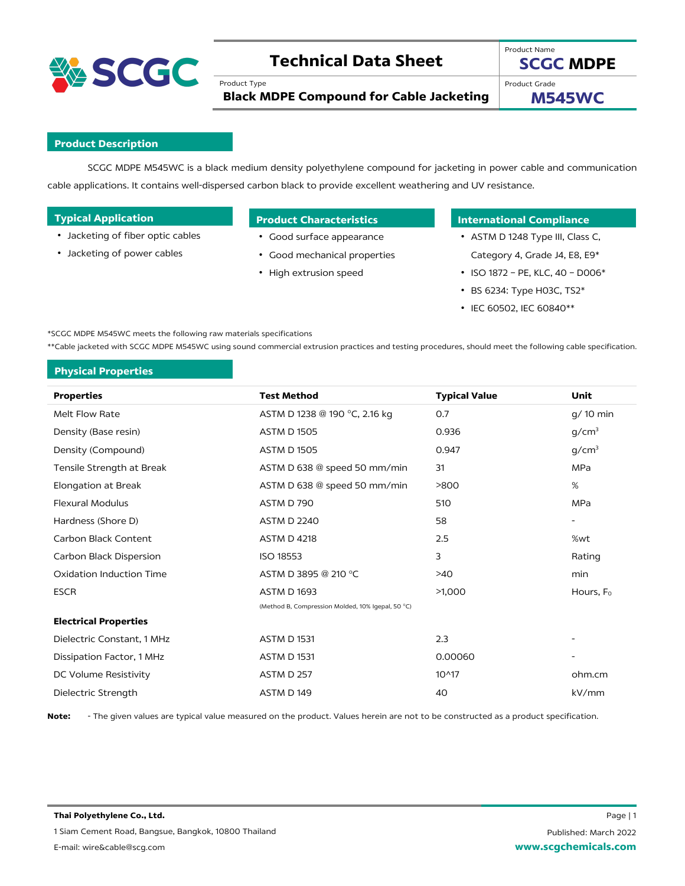

# **Technical Data Sheet**

Product Type

**SCGC MDPE**

**Black MDPE Compound for Cable Jacketing**

Product Grade

Product Name

**M545WC**

# **Product Description**

SCGC MDPE M545WC is a black medium density polyethylene compound for jacketing in power cable and communication cable applications. It contains well-dispersed carbon black to provide excellent weathering and UV resistance.

- Jacketing of fiber optic cables
- Jacketing of power cables

- Good surface appearance
- Good mechanical properties
- High extrusion speed

# **Typical Applications Product Characteristics International Compliance**

- ASTM D 1248 Type III, Class C, Category 4, Grade J4, E8, E9\*
- ISO 1872 PE, KLC, 40 D006\*
- BS 6234: Type H03C, TS2\*
- IEC 60502, IEC 60840\*\*

\*SCGC MDPE M545WC meets the following raw materials specifications

\*\*Cable jacketed with SCGC MDPE M545WC using sound commercial extrusion practices and testing procedures, should meet the following cable specification.

# **Physical Properties**

| <b>Properties</b>            | <b>Test Method</b>                                | <b>Typical Value</b> | Unit                     |
|------------------------------|---------------------------------------------------|----------------------|--------------------------|
| Melt Flow Rate               | ASTM D 1238 @ 190 °C, 2.16 kg                     | 0.7                  | g/ 10 min                |
| Density (Base resin)         | <b>ASTM D 1505</b>                                | 0.936                | g/cm <sup>3</sup>        |
| Density (Compound)           | <b>ASTM D 1505</b>                                | 0.947                | g/cm <sup>3</sup>        |
| Tensile Strength at Break    | ASTM D 638 @ speed 50 mm/min                      | 31                   | MPa                      |
| <b>Elongation at Break</b>   | ASTM D 638 @ speed 50 mm/min                      | >800                 | %                        |
| <b>Flexural Modulus</b>      | ASTM D 790                                        | 510                  | <b>MPa</b>               |
| Hardness (Shore D)           | <b>ASTM D 2240</b>                                | 58                   | $\overline{\phantom{a}}$ |
| Carbon Black Content         | <b>ASTM D 4218</b>                                | 2.5                  | %wt                      |
| Carbon Black Dispersion      | ISO 18553                                         | 3                    | Rating                   |
| Oxidation Induction Time     | ASTM D 3895 @ 210 °C                              | >40                  | min                      |
| <b>ESCR</b>                  | <b>ASTM D 1693</b>                                | >1,000               | Hours, F <sub>o</sub>    |
|                              | (Method B, Compression Molded, 10% Igepal, 50 °C) |                      |                          |
| <b>Electrical Properties</b> |                                                   |                      |                          |
| Dielectric Constant, 1 MHz   | <b>ASTM D 1531</b>                                | 2.3                  |                          |
| Dissipation Factor, 1 MHz    | <b>ASTM D 1531</b>                                | 0.00060              |                          |
| DC Volume Resistivity        | ASTM D 257                                        | 10^17                | ohm.cm                   |
| Dielectric Strength          | ASTM D 149                                        | 40                   | kV/mm                    |
|                              |                                                   |                      |                          |

**Note:** - The given values are typical value measured on the product. Values herein are not to be constructed as a product specification.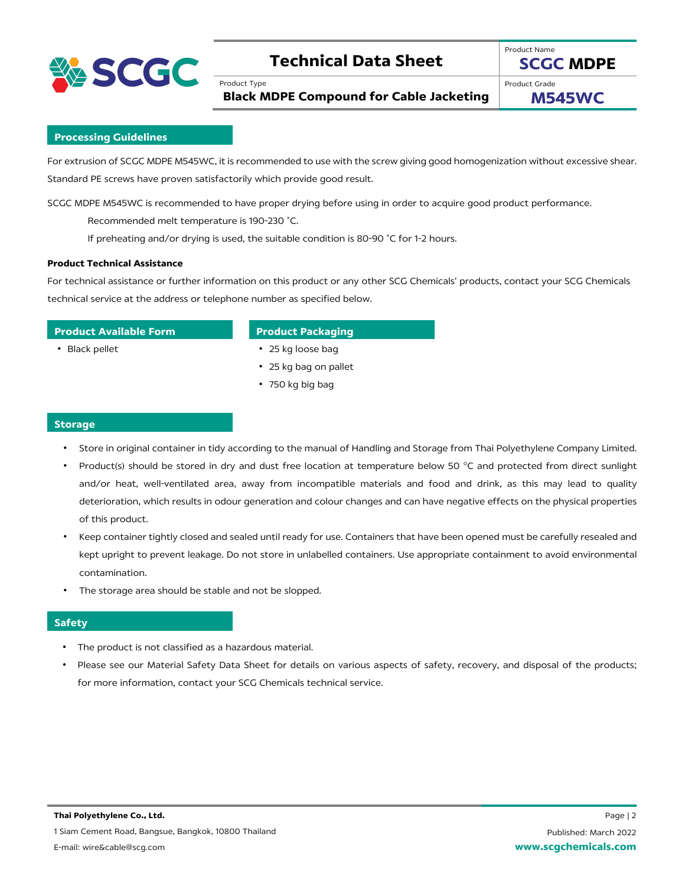

# **Technical Data Sheet**

**Black MDPE Compound for Cable Jacketing**

Product Type

Product Grade

Product Name

**M545WC**

**SCGC MDPE**

## **Processing Guidelines**

For extrusion of SCGC MDPE M545WC, it is recommended to use with the screw giving good homogenization without excessive shear. Standard PE screws have proven satisfactorily which provide good result.

SCGC MDPE M545WC is recommended to have proper drying before using in order to acquire good product performance.

Recommended melt temperature is 190-230 ˚C.

If preheating and/or drying is used, the suitable condition is 80-90 ˚C for 1-2 hours.

### **Product Technical Assistance**

For technical assistance or further information on this product or any other SCG Chemicals' products, contact your SCG Chemicals technical service at the address or telephone number as specified below.

## **Product Available Form Product Packaging**

- Black pellet 25 kg loose bag
	- 25 kg bag on pallet
	- 750 kg big bag

### **Storage**

- Store in original container in tidy according to the manual of Handling and Storage from Thai Polyethylene Company Limited.
- Product(s) should be stored in dry and dust free location at temperature below 50 °C and protected from direct sunlight and/or heat, well-ventilated area, away from incompatible materials and food and drink, as this may lead to quality deterioration, which results in odour generation and colour changes and can have negative effects on the physical properties of this product.
- Keep container tightly closed and sealed until ready for use. Containers that have been opened must be carefully resealed and kept upright to prevent leakage. Do not store in unlabelled containers. Use appropriate containment to avoid environmental contamination.
- The storage area should be stable and not be slopped.

## **Safety**

- The product is not classified as a hazardous material.
- Please see our Material Safety Data Sheet for details on various aspects of safety, recovery, and disposal of the products; for more information, contact your SCG Chemicals technical service.